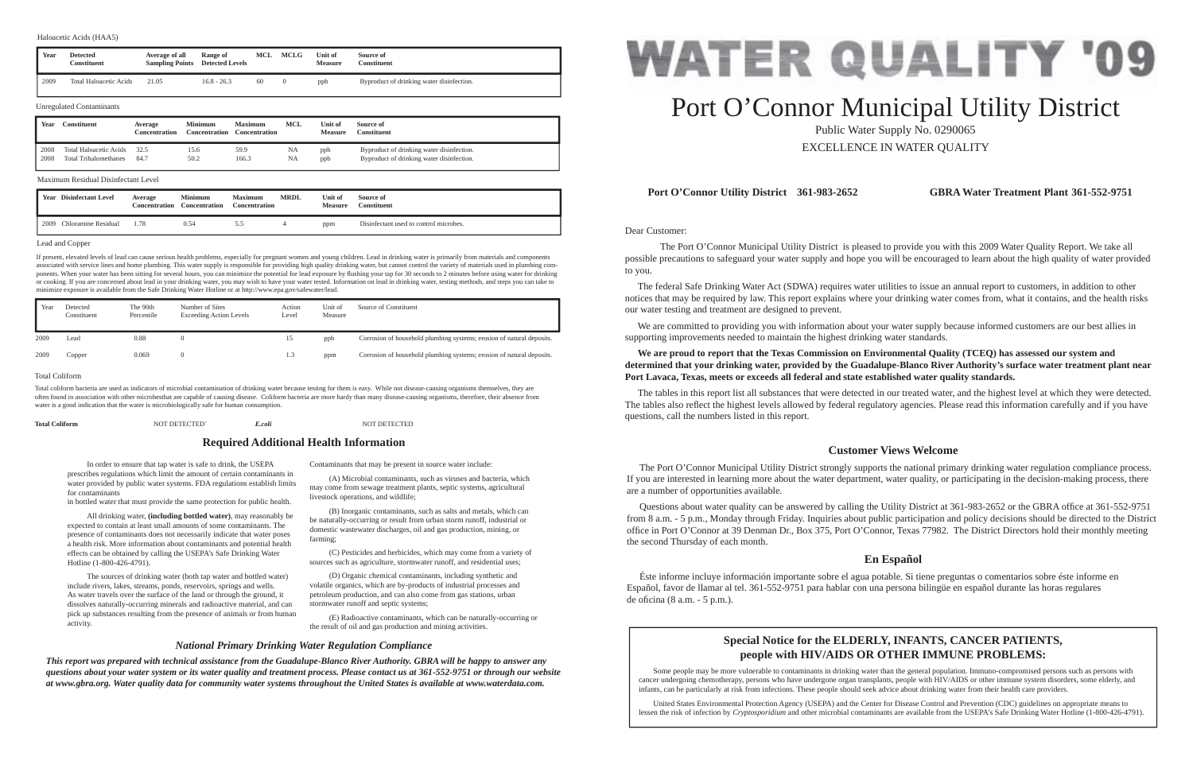Dear Customer:

 The Port O'Connor Municipal Utility District is pleased to provide you with this 2009 Water Quality Report. We take all possible precautions to safeguard your water supply and hope you will be encouraged to learn about the high quality of water provided to you.

 The federal Safe Drinking Water Act (SDWA) requires water utilities to issue an annual report to customers, in addition to other notices that may be required by law. This report explains where your drinking water comes from, what it contains, and the health risks our water testing and treatment are designed to prevent.

 We are committed to providing you with information about your water supply because informed customers are our best allies in supporting improvements needed to maintain the highest drinking water standards.

**We are proud to report that the Texas Commission on Environmental Quality (TCEQ) has assessed our system and determined that your drinking water, provided by the Guadalupe-Blanco River Authority's surface water treatment plant near** 

# **Port Lavaca, Texas, meets or exceeds all federal and state established water quality standards.**

Questions about water quality can be answered by calling the Utility District at 361-983-2652 or the GBRA office at 361-552-9751 from 8 a.m. - 5 p.m., Monday through Friday. Inquiries about public participation and policy decisions should be directed to the District office in Port O'Connor at 39 Denman Dr., Box 375, Port O'Connor, Texas 77982. The District Directors hold their monthly meeting the second Thursday of each month.

 Éste informe incluye información importante sobre el agua potable. Si tiene preguntas o comentarios sobre éste informe en Español, favor de llamar al tel. 361-552-9751 para hablar con una persona bilingüe en español durante las horas regulares de oficina (8 a.m.  $-5$  p.m.).

The tables in this report list all substances that were detected in our treated water, and the highest level at which they were detected. The tables also reflect the highest levels allowed by federal regulatory agencies. Please read this information carefully and if you have questions, call the numbers listed in this report.

# **Port O'Connor Utility District 361-983-2652 GBRA Water Treatment Plant 361-552-9751**

# **Customer Views Welcome**

 The Port O'Connor Municipal Utility District strongly supports the national primary drinking water regulation compliance process. If you are interested in learning more about the water department, water quality, or participating in the decision-making process, there are a number of opportunities available.

# **En Español**

 In order to ensure that tap water is safe to drink, the USEPA prescribes regulations which limit the amount of certain contaminants in water provided by public water systems. FDA regulations establish limits for contaminants

in bottled water that must provide the same protection for public health.

 All drinking water, **(including bottled water)**, may reasonably be expected to contain at least small amounts of some contaminants. The presence of contaminants does not necessarily indicate that water poses a health risk. More information about contaminants and potential health effects can be obtained by calling the USEPA's Safe Drinking Water Hotline (1-800-426-4791).

 The sources of drinking water (both tap water and bottled water) include rivers, lakes, streams, ponds, reservoirs, springs and wells. As water travels over the surface of the land or through the ground, it dissolves naturally-occurring minerals and radioactive material, and can pick up substances resulting from the presence of animals or from human activity.

Contaminants that may be present in source water include:

 (A) Microbial contaminants, such as viruses and bacteria, which may come from sewage treatment plants, septic systems, agricultural livestock operations, and wildlife;

 (B) Inorganic contaminants, such as salts and metals, which can be naturally-occurring or result from urban storm runoff, industrial or domestic wastewater discharges, oil and gas production, mining, or farming;

 (C) Pesticides and herbicides, which may come from a variety of sources such as agriculture, stormwater runoff, and residential uses;

 (D) Organic chemical contaminants, including synthetic and volatile organics, which are by-products of industrial processes and petroleum production, and can also come from gas stations, urban stormwater runoff and septic systems;

 (E) Radioactive contaminants, which can be naturally-occurring or the result of oil and gas production and mining activities.

**Required Additional Health Information**

# *National Primary Drinking Water Regulation Compliance*

*This report was prepared with technical assistance from the Guadalupe-Blanco River Authority. GBRA will be happy to answer any questions about your water system or its water quality and treatment process. Please contact us at 361-552-9751 or through our website at www.gbra.org. Water quality data for community water systems throughout the United States is available at www.waterdata.com.*



# Port O'Connor Municipal Utility District Public Water Supply No. 0290065

EXCELLENCE IN WATER QUALITY

# **Special Notice for the ELDERLY, INFANTS, CANCER PATIENTS, people with HIV/AIDS OR OTHER IMMUNE PROBLEMS:**

Some people may be more vulnerable to contaminants in drinking water than the general population. Immuno-compromised persons such as persons with cancer undergoing chemotherapy, persons who have undergone organ transplants, people with HIV/AIDS or other immune system disorders, some elderly, and infants, can be particularly at risk from infections. These people should seek advice about drinking water from their health care providers.

 United States Environmental Protection Agency (USEPA) and the Center for Disease Control and Prevention (CDC) guidelines on appropriate means to lessen the risk of infection by *Cryptosporidium* and other microbial contaminants are available from the USEPA's Safe Drinking Water Hotline (1-800-426-4791).

#### Lead and Copper

If present, elevated levels of lead can cause serious health problems, especially for pregnant women and young children. Lead in drinking water is primarily from materials and components associated with service lines and home plumbing. This water supply is responsible for providing high quality drinking water, but cannot control the variety of materials used in plumbing components. When your water has been sitting for several hours, you can minimize the potential for lead exposure by flushing your tap for 30 seconds to 2 minutes before using water for drinking or cooking. If you are concerned about lead in your drinking water, you may wish to have your water tested. Information on lead in drinking water, testing methods, and steps you can take to minimize exposure is available from the Safe Drinking Water Hotline or at http://www.epa.gov/safewater/lead.

| Year | <b>Disinfectant Level</b> | Average<br><b>Concentration</b> | <b>Minimum</b><br><b>Concentration</b> | <b>Maximum</b><br><b>Concentration</b> | <b>MRDL</b> | Unit of<br><b>Measure</b> | Source of<br><b>Constituent</b>        |
|------|---------------------------|---------------------------------|----------------------------------------|----------------------------------------|-------------|---------------------------|----------------------------------------|
| 2009 | Chloramine Residual       | 1.78                            | 0.54                                   | D                                      |             | ppm                       | Disinfectant used to control microbes. |

## Maximum Residual Disinfectant Level

| Year | <b>Detected</b><br>Constituent | Average of all<br><b>Sampling Points</b> | Range of<br><b>Detected Levels</b> | MCL | MCLG | Unit of<br><b>Measure</b> | Source of<br><b>Constituent</b>           |
|------|--------------------------------|------------------------------------------|------------------------------------|-----|------|---------------------------|-------------------------------------------|
| 2009 | <b>Total Haloacetic Acids</b>  | 21.05                                    | $16.8 - 26.3$                      | 60  |      | ppb                       | Byproduct of drinking water disinfection. |

## Haloacetic Acids (HAA5)

| Year | Constituent                   | Average<br><b>Concentration</b> | <b>Minimum</b><br>Concentration | <b>Maximum</b><br><b>Concentration</b> | MCL | Unit of<br><b>Measure</b> | Source of<br>Constituent                  |
|------|-------------------------------|---------------------------------|---------------------------------|----------------------------------------|-----|---------------------------|-------------------------------------------|
| 2008 | <b>Total Haloacetic Acids</b> | 32.5                            | 15.6                            | 59.9                                   | NA  | ppb                       | Byproduct of drinking water disinfection. |
| 2008 | <b>Total Trihalomethanes</b>  | 84.7                            | 50.2                            | 166.3                                  | NA  | ppb                       | Byproduct of drinking water disinfection. |

#### Unregulated Contaminants

| Year | Detected<br>Constituent | The 90th<br>Percentile | Number of Sites<br><b>Exceeding Action Levels</b> | Action<br>Level | Unit of<br>Measure | Source of Constituent                                                 |
|------|-------------------------|------------------------|---------------------------------------------------|-----------------|--------------------|-----------------------------------------------------------------------|
| 2009 | Lead                    | 0.88                   |                                                   | 15.             | ppb                | Corrosion of household plumbing systems; erosion of natural deposits. |
| 2009 | Copper                  | 0.069                  |                                                   | 1.3             | ppm                | Corrosion of household plumbing systems; erosion of natural deposits. |

### Total Coliform

Total coliform bacteria are used as indicators of microbial contamination of drinking water because testing for them is easy. While not disease-causing organisms themselves, they are often found in association with other microbesthat are capable of causing disease. Coliform bacteria are more hardy than many disease-causing organisms, therefore, their absence from water is a good indication that the water is microbiologically safe for human consumption.

# **Total Coliform** NOT DETECTED *E.coli*  $E.coli$  NOT DETECTED